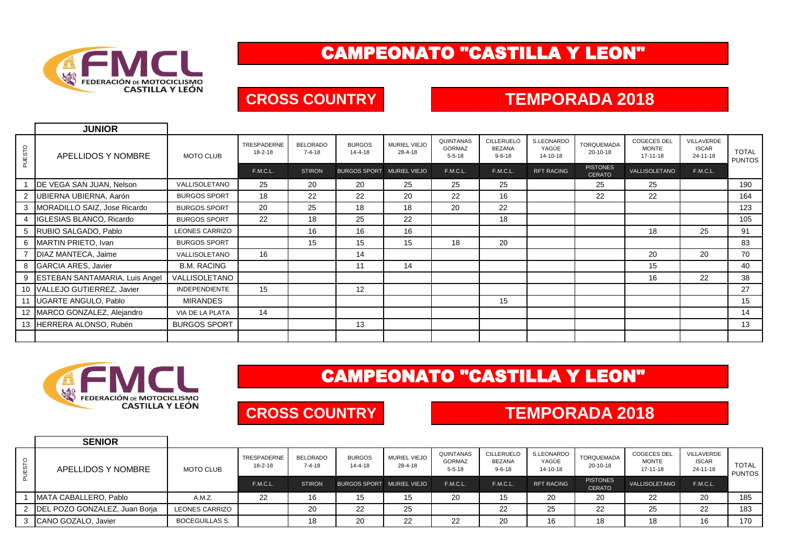

## CAMPEONATO "CASTILLA Y LEON"

### **CROSS COUNTRY TEMPORADA 2018**

|        | <b>JUNIOR</b>                         |                       |                              |                                 |                                |                         |                                            |                                                    |                                 |                                  |                                                      |                                        |                        |
|--------|---------------------------------------|-----------------------|------------------------------|---------------------------------|--------------------------------|-------------------------|--------------------------------------------|----------------------------------------------------|---------------------------------|----------------------------------|------------------------------------------------------|----------------------------------------|------------------------|
| PUESTO | APELLIDOS Y NOMBRE                    | <b>MOTO CLUB</b>      | TRESPADERNE<br>$18 - 2 - 18$ | <b>BELORADO</b><br>$7 - 4 - 18$ | <b>BURGOS</b><br>$14 - 4 - 18$ | MURIEL VIEJO<br>28-4-18 | QUINTANAS<br><b>GORMAZ</b><br>$5 - 5 - 18$ | <b>CILLERUELO</b><br><b>BEZANA</b><br>$9 - 6 - 18$ | S.LEONARDO<br>YAGÜE<br>14-10-18 | <b>TORQUEMADA</b><br>20-10-18    | <b>COGECES DEL</b><br><b>MONTE</b><br>$17 - 11 - 18$ | VILLAVERDE<br><b>ISCAR</b><br>24-11-18 | <b>TOTAL</b><br>PUNTOS |
|        |                                       |                       | F.M.C.L.                     | <b>STIRON</b>                   | BURGOS SPORT MURIEL VIEJO      |                         | F.M.C.L.                                   | F.M.C.L.                                           | <b>RFT RACING</b>               | <b>PISTONES</b><br><b>CERATO</b> | VALLISOLETANO                                        | F.M.C.L.                               |                        |
|        | DE VEGA SAN JUAN, Nelson              | VALLISOLETANO         | 25                           | 20                              | 20                             | 25                      | 25                                         | 25                                                 |                                 | 25                               | 25                                                   |                                        | 190                    |
|        | UBIERNA UBIERNA, Aarón                | <b>BURGOS SPORT</b>   | 18                           | 22                              | 22                             | 20                      | 22                                         | 16                                                 |                                 | 22                               | 22                                                   |                                        | 164                    |
|        | MORADILLO SAIZ, Jose Ricardo          | <b>BURGOS SPORT</b>   | 20                           | 25                              | 18                             | 18                      | 20                                         | 22                                                 |                                 |                                  |                                                      |                                        | 123                    |
|        | IGLESIAS BLANCO, Ricardo              | <b>BURGOS SPORT</b>   | 22                           | 18                              | 25                             | 22                      |                                            | 18                                                 |                                 |                                  |                                                      |                                        | 105                    |
|        | RUBIO SALGADO, Pablo                  | <b>LEONES CARRIZO</b> |                              | 16                              | 16                             | 16                      |                                            |                                                    |                                 |                                  | 18                                                   | 25                                     | 91                     |
|        | MARTIN PRIETO, Ivan                   | <b>BURGOS SPORT</b>   |                              | 15                              | 15                             | 15                      | 18                                         | 20                                                 |                                 |                                  |                                                      |                                        | 83                     |
|        | DIAZ MANTECA, Jaime                   | VALLISOLETANO         | 16                           |                                 | 14                             |                         |                                            |                                                    |                                 |                                  | 20                                                   | 20                                     | 70                     |
|        | <b>GARCIA ARES, Javier</b>            | <b>B.M. RACING</b>    |                              |                                 | 11                             | 14                      |                                            |                                                    |                                 |                                  | 15                                                   |                                        | 40                     |
|        | <b>ESTEBAN SANTAMARIA, Luis Angel</b> | VALLISOLETANO         |                              |                                 |                                |                         |                                            |                                                    |                                 |                                  | 16                                                   | 22                                     | 38                     |
|        | 10 VALLEJO GUTIERREZ, Javier          | <b>INDEPENDIENTE</b>  | 15                           |                                 | 12                             |                         |                                            |                                                    |                                 |                                  |                                                      |                                        | 27                     |
| 11     | UGARTE ANGULO, Pablo                  | <b>MIRANDES</b>       |                              |                                 |                                |                         |                                            | 15                                                 |                                 |                                  |                                                      |                                        | 15                     |
|        | 12 MARCO GONZALEZ, Alejandro          | VIA DE LA PLATA       | 14                           |                                 |                                |                         |                                            |                                                    |                                 |                                  |                                                      |                                        | 14                     |
|        | 13 HERRERA ALONSO, Rubén              | <b>BURGOS SPORT</b>   |                              |                                 | 13                             |                         |                                            |                                                    |                                 |                                  |                                                      |                                        | 13                     |
|        |                                       |                       |                              |                                 |                                |                         |                                            |                                                    |                                 |                                  |                                                      |                                        |                        |



# CAMPEONATO "CASTILLA Y LEON"

### **CROSS COUNTRY**

### **TEMPORADA 2018**

|              | <b>SENIOR</b>                          |                       |                              |                                 |                                |                                |                                            |                                                    |                                 |                                  |                                                |                                        |                               |
|--------------|----------------------------------------|-----------------------|------------------------------|---------------------------------|--------------------------------|--------------------------------|--------------------------------------------|----------------------------------------------------|---------------------------------|----------------------------------|------------------------------------------------|----------------------------------------|-------------------------------|
| <b>JESTO</b> | APELLIDOS Y NOMBRE                     | <b>MOTO CLUB</b>      | TRESPADERNE<br>$18 - 2 - 18$ | <b>BELORADO</b><br>$7 - 4 - 18$ | <b>BURGOS</b><br>$14 - 4 - 18$ | <b>MURIEL VIEJO</b><br>28-4-18 | QUINTANAS<br><b>GORMAZ</b><br>$5 - 5 - 18$ | <b>CILLERUELO</b><br><b>BEZANA</b><br>$9 - 6 - 18$ | S.LEONARDO<br>YAGÜE<br>14-10-18 | TORQUEMADA<br>20-10-18           | <b>COGECES DEL</b><br><b>MONTE</b><br>17-11-18 | VILLAVERDE<br><b>ISCAR</b><br>24-11-18 | <b>TOTAL</b><br><b>PUNTOS</b> |
|              |                                        |                       | F.M.C.L.                     | <b>STIRON</b>                   | BURGOS SPORT MURIEL VIEJO      |                                | F.M.C.L.                                   | F.M.C.L                                            | <b>RFT RACING</b>               | <b>PISTONES</b><br><b>CERATO</b> | VALLISOLETANO                                  | F.M.C.L.                               |                               |
|              | MATA CABALLERO, Pablo                  | A.M.Z.                | 22                           | 16                              | 15                             | 15                             | 20                                         | 15                                                 | 20                              | 20                               | 22                                             | 20                                     | 185                           |
|              | 2 <b>DEL POZO GONZALEZ, Juan Boria</b> | <b>LEONES CARRIZO</b> |                              | 20                              | 22                             | 25                             |                                            | 22                                                 | 25                              | 22                               | 25                                             | 22                                     | 183                           |
|              | 3 CANO GOZALO, Javier                  | <b>BOCEGUILLAS S.</b> |                              | 18                              | 20                             | つつ<br>∠∠                       | 22                                         | 20                                                 | 16                              | 18                               | 18                                             |                                        | 170                           |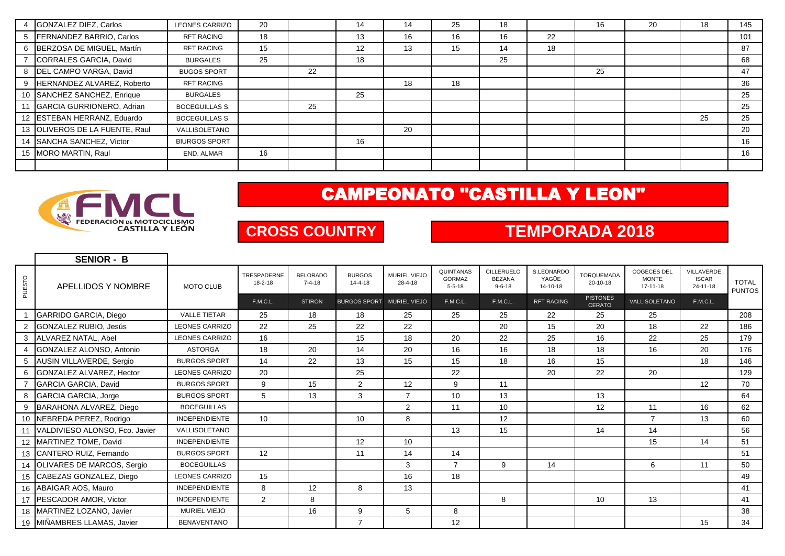|   | GONZALEZ DIEZ, Carlos          | <b>LEONES CARRIZO</b> | 20 |    | 14 | 14 | 25 | 18 |    | 16 | 20 | 18 | 145 |
|---|--------------------------------|-----------------------|----|----|----|----|----|----|----|----|----|----|-----|
|   | FERNANDEZ BARRIO, Carlos       | <b>RFT RACING</b>     | 18 |    | 13 | 16 | 16 | 16 | 22 |    |    |    | 101 |
| 6 | BERZOSA DE MIGUEL, Martín      | <b>RFT RACING</b>     | 15 |    | 12 | 13 | 15 | 14 | 18 |    |    |    | 87  |
|   | CORRALES GARCIA, David         | <b>BURGALES</b>       | 25 |    | 18 |    |    | 25 |    |    |    |    | 68  |
|   | DEL CAMPO VARGA, David         | <b>BUGOS SPORT</b>    |    | 22 |    |    |    |    |    | 25 |    |    | 47  |
|   | HERNANDEZ ALVAREZ, Roberto     | <b>RFT RACING</b>     |    |    |    | 18 | 18 |    |    |    |    |    | 36  |
|   | 10 SANCHEZ SANCHEZ, Enrique    | <b>BURGALES</b>       |    |    | 25 |    |    |    |    |    |    |    | 25  |
|   | 11 GARCIA GURRIONERO, Adrian   | <b>BOCEGUILLAS S.</b> |    | 25 |    |    |    |    |    |    |    |    | 25  |
|   | 12 ESTEBAN HERRANZ, Eduardo    | <b>BOCEGUILLAS S.</b> |    |    |    |    |    |    |    |    |    | 25 | 25  |
|   | 13 OLIVEROS DE LA FUENTE, Raul | VALLISOLETANO         |    |    |    | 20 |    |    |    |    |    |    | 20  |
|   | 14 SANCHA SANCHEZ, Victor      | <b>BIURGOS SPORT</b>  |    |    | 16 |    |    |    |    |    |    |    | 16  |
|   | 15 MORO MARTIN, Raul           | END. ALMAR            | 16 |    |    |    |    |    |    |    |    |    | 16  |
|   |                                |                       |    |    |    |    |    |    |    |    |    |    |     |

## CAMPEONATO "CASTILLA Y LEON"



## **CROSS COUNTRY TEMPORADA 2018**

|                | <b>SENIOR - B</b>                 |                       |                              |                                 |                                |                                |                                            |                                             |                                 |                                  |                                                      |                                              |                               |
|----------------|-----------------------------------|-----------------------|------------------------------|---------------------------------|--------------------------------|--------------------------------|--------------------------------------------|---------------------------------------------|---------------------------------|----------------------------------|------------------------------------------------------|----------------------------------------------|-------------------------------|
| PUESTO         | APELLIDOS Y NOMBRE                | <b>MOTO CLUB</b>      | TRESPADERNE<br>$18 - 2 - 18$ | <b>BELORADO</b><br>$7 - 4 - 18$ | <b>BURGOS</b><br>$14 - 4 - 18$ | <b>MURIEL VIEJO</b><br>28-4-18 | QUINTANAS<br><b>GORMAZ</b><br>$5 - 5 - 18$ | CILLERUELC<br><b>BEZANA</b><br>$9 - 6 - 18$ | S.LEONARDO<br>YAGÜE<br>14-10-18 | <b>TORQUEMADA</b><br>20-10-18    | <b>COGECES DEL</b><br><b>MONTE</b><br>$17 - 11 - 18$ | VILLAVERDE<br><b>ISCAR</b><br>$24 - 11 - 18$ | <b>TOTAL</b><br><b>PUNTOS</b> |
|                |                                   |                       | F.M.C.L.                     | <b>STIRON</b>                   | <b>BURGOS SPORT</b>            | <b>MURIEL VIEJO</b>            | F.M.C.L.                                   | F.M.C.L.                                    | <b>RFT RACING</b>               | <b>PISTONES</b><br><b>CERATO</b> | VALLISOLETANO                                        | <b>F.M.C.L.</b>                              |                               |
|                | GARRIDO GARCIA, Diego             | <b>VALLE TIETAR</b>   | 25                           | 18                              | 18                             | 25                             | 25                                         | 25                                          | 22                              | 25                               | 25                                                   |                                              | 208                           |
|                | GONZALEZ RUBIO, Jesús             | <b>LEONES CARRIZO</b> | 22                           | 25                              | 22                             | 22                             |                                            | 20                                          | 15                              | 20                               | 18                                                   | 22                                           | 186                           |
| 3              | ALVAREZ NATAL, Abel               | <b>LEONES CARRIZO</b> | 16                           |                                 | 15                             | 18                             | 20                                         | 22                                          | 25                              | 16                               | 22                                                   | 25                                           | 179                           |
| $\overline{4}$ | <b>GONZALEZ ALONSO, Antonio</b>   | <b>ASTORGA</b>        | 18                           | 20                              | 14                             | 20                             | 16                                         | 16                                          | 18                              | 18                               | 16                                                   | 20                                           | 176                           |
| 5              | AUSIN VILLAVERDE, Sergio          | <b>BURGOS SPORT</b>   | 14                           | 22                              | 13                             | 15                             | 15                                         | 18                                          | 16                              | 15                               |                                                      | 18                                           | 146                           |
| 6              | GONZALEZ ALVAREZ, Hector          | <b>LEONES CARRIZO</b> | 20                           |                                 | 25                             |                                | 22                                         |                                             | 20                              | 22                               | 20                                                   |                                              | 129                           |
|                | GARCIA GARCIA, David              | <b>BURGOS SPORT</b>   | 9                            | 15                              | 2                              | 12                             | 9                                          | 11                                          |                                 |                                  |                                                      | 12                                           | 70                            |
| 8              | GARCIA GARCIA, Jorge              | <b>BURGOS SPORT</b>   | 5                            | 13                              | 3                              | $\overline{7}$                 | 10                                         | 13                                          |                                 | 13                               |                                                      |                                              | 64                            |
| 9              | BARAHONA ALVAREZ, Diego           | <b>BOCEGUILLAS</b>    |                              |                                 |                                | $\overline{2}$                 | 11                                         | 10                                          |                                 | 12                               | 11                                                   | 16                                           | 62                            |
| 10             | NEBREDA PEREZ, Rodrigo            | <b>INDEPENDIENTE</b>  | 10                           |                                 | 10                             | 8                              |                                            | 12                                          |                                 |                                  | $\overline{7}$                                       | 13                                           | 60                            |
| 11             | VALDIVIESO ALONSO, Fco. Javier    | VALLISOLETANO         |                              |                                 |                                |                                | 13                                         | 15                                          |                                 | 14                               | 14                                                   |                                              | 56                            |
| 12             | MARTINEZ TOME, David              | <b>INDEPENDIENTE</b>  |                              |                                 | 12                             | 10                             |                                            |                                             |                                 |                                  | 15                                                   | 14                                           | 51                            |
|                | 13 CANTERO RUIZ, Fernando         | <b>BURGOS SPORT</b>   | 12                           |                                 | 11                             | 14                             | 14                                         |                                             |                                 |                                  |                                                      |                                              | 51                            |
| 14             | <b>OLIVARES DE MARCOS, Sergio</b> | <b>BOCEGUILLAS</b>    |                              |                                 |                                | 3                              | $\overline{7}$                             | 9                                           | 14                              |                                  | 6                                                    | 11                                           | 50                            |
|                | 15 CABEZAS GONZALEZ, Diego        | <b>LEONES CARRIZO</b> | 15                           |                                 |                                | 16                             | 18                                         |                                             |                                 |                                  |                                                      |                                              | 49                            |
|                | 16 ABAIGAR AOS, Mauro             | <b>INDEPENDIENTE</b>  | 8                            | 12                              | 8                              | 13                             |                                            |                                             |                                 |                                  |                                                      |                                              | 41                            |
| 17             | <b>PESCADOR AMOR, Victor</b>      | <b>INDEPENDIENTE</b>  | $\overline{2}$               | 8                               |                                |                                |                                            | 8                                           |                                 | 10                               | 13                                                   |                                              | 41                            |
|                | 18 MARTINEZ LOZANO, Javier        | MURIEL VIEJO          |                              | 16                              | 9                              | 5                              | 8                                          |                                             |                                 |                                  |                                                      |                                              | 38                            |
|                | 19 MIÑAMBRES LLAMAS, Javier       | <b>BENAVENTANO</b>    |                              |                                 | $\overline{7}$                 |                                | 12                                         |                                             |                                 |                                  |                                                      | 15                                           | 34                            |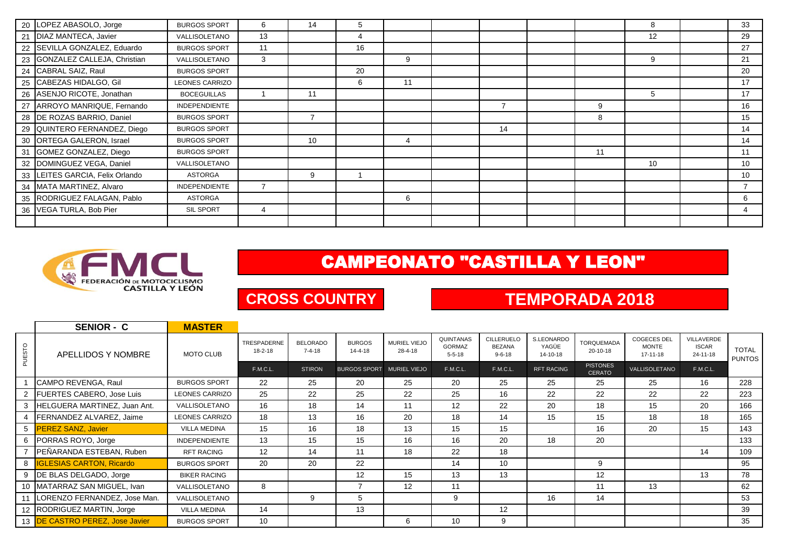| 20 LOPEZ ABASOLO, Jorge         | <b>BURGOS SPORT</b>  | 6  | 14             | 5  |    |    |    | 8  | 33 |
|---------------------------------|----------------------|----|----------------|----|----|----|----|----|----|
| 21 DIAZ MANTECA, Javier         | VALLISOLETANO        | 13 |                | 4  |    |    |    | 12 | 29 |
| 22 SEVILLA GONZALEZ, Eduardo    | <b>BURGOS SPORT</b>  | 11 |                | 16 |    |    |    |    | 27 |
| 23 GONZALEZ CALLEJA, Christian  | VALLISOLETANO        | 3  |                |    | 9  |    |    | 9  | 21 |
| 24 CABRAL SAIZ, Raul            | <b>BURGOS SPORT</b>  |    |                | 20 |    |    |    |    | 20 |
| 25 CABEZAS HIDALGO, Gil         | LEONES CARRIZO       |    |                | 6  | 11 |    |    |    | 17 |
| 26 ASENJO RICOTE, Jonathan      | <b>BOCEGUILLAS</b>   |    | 11             |    |    |    |    | 5  | 17 |
| 27 ARROYO MANRIQUE, Fernando    | <b>INDEPENDIENTE</b> |    |                |    |    |    | 9  |    | 16 |
| 28 DE ROZAS BARRIO, Daniel      | <b>BURGOS SPORT</b>  |    | $\overline{7}$ |    |    |    | 8  |    | 15 |
| 29 QUINTERO FERNANDEZ, Diego    | <b>BURGOS SPORT</b>  |    |                |    |    | 14 |    |    | 14 |
| 30 ORTEGA GALERON, Israel       | <b>BURGOS SPORT</b>  |    | 10             |    | 4  |    |    |    | 14 |
| 31 GOMEZ GONZALEZ, Diego        | <b>BURGOS SPORT</b>  |    |                |    |    |    | 11 |    | 11 |
| 32 DOMINGUEZ VEGA, Daniel       | VALLISOLETANO        |    |                |    |    |    |    | 10 | 10 |
| 33 LEITES GARCIA, Felix Orlando | ASTORGA              |    | 9              |    |    |    |    |    | 10 |
| 34 MATA MARTINEZ, Alvaro        | <b>INDEPENDIENTE</b> | 7  |                |    |    |    |    |    |    |
| 35 RODRIGUEZ FALAGAN, Pablo     | ASTORGA              |    |                |    | 6  |    |    |    |    |
| 36 VEGA TURLA, Bob Pier         | SIL SPORT            | 4  |                |    |    |    |    |    |    |
|                                 |                      |    |                |    |    |    |    |    |    |



# CAMPEONATO "CASTILLA Y LEON"

## **CROSS COUNTRY TEMPORADA 2018**

|                | <b>SENIOR - C</b>                       | <b>MASTER</b>         |                              |                                 |                                |                                |                                            |                                                    |                                 |                                  |                                                      |                                        |                               |
|----------------|-----------------------------------------|-----------------------|------------------------------|---------------------------------|--------------------------------|--------------------------------|--------------------------------------------|----------------------------------------------------|---------------------------------|----------------------------------|------------------------------------------------------|----------------------------------------|-------------------------------|
| PUESTO         | APELLIDOS Y NOMBRE                      | <b>MOTO CLUB</b>      | TRESPADERNE<br>$18 - 2 - 18$ | <b>BELORADO</b><br>$7 - 4 - 18$ | <b>BURGOS</b><br>$14 - 4 - 18$ | <b>MURIEL VIEJO</b><br>28-4-18 | QUINTANAS<br><b>GORMAZ</b><br>$5 - 5 - 18$ | <b>CILLERUELC</b><br><b>BEZANA</b><br>$9 - 6 - 18$ | S.LEONARDO<br>YAGÜE<br>14-10-18 | <b>TORQUEMADA</b><br>20-10-18    | <b>COGECES DEL</b><br><b>MONTE</b><br>$17 - 11 - 18$ | VILLAVERDE<br><b>ISCAR</b><br>24-11-18 | <b>TOTAL</b><br><b>PUNTOS</b> |
|                |                                         |                       | <b>F.M.C.L.</b>              | <b>STIRON</b>                   | <b>BURGOS SPORT</b>            | MURIEL VIEJO                   | F.M.C.L.                                   | F.M.C.L.                                           | <b>RFT RACING</b>               | <b>PISTONES</b><br><b>CERATO</b> | VALLISOLETANO                                        | <b>F.M.C.L.</b>                        |                               |
|                | CAMPO REVENGA, Raul                     | <b>BURGOS SPORT</b>   | 22                           | 25                              | 20                             | 25                             | 20                                         | 25                                                 | 25                              | 25                               | 25                                                   | 16                                     | 228                           |
| $\overline{2}$ | FUERTES CABERO, Jose Luis               | <b>LEONES CARRIZO</b> | 25                           | 22                              | 25                             | 22                             | 25                                         | 16                                                 | 22                              | 22                               | 22                                                   | 22                                     | 223                           |
| 3              | HELGUERA MARTINEZ, Juan Ant.            | VALLISOLETANO         | 16                           | 18                              | 14                             | 11                             | 12                                         | 22                                                 | 20                              | 18                               | 15                                                   | 20                                     | 166                           |
|                | FERNANDEZ ALVAREZ, Jaime                | <b>LEONES CARRIZO</b> | 18                           | 13                              | 16                             | 20                             | 18                                         | 14                                                 | 15                              | 15                               | 18                                                   | 18                                     | 165                           |
| 5              | <b>PEREZ SANZ, Javier</b>               | <b>VILLA MEDINA</b>   | 15                           | 16                              | 18                             | 13                             | 15                                         | 15                                                 |                                 | 16                               | 20                                                   | 15                                     | 143                           |
|                | 6 PORRAS ROYO, Jorge                    | <b>INDEPENDIENTE</b>  | 13                           | 15                              | 15                             | 16                             | 16                                         | 20                                                 | 18                              | 20                               |                                                      |                                        | 133                           |
|                | PEÑARANDA ESTEBAN, Ruben                | <b>RFT RACING</b>     | $12 \overline{ }$            | 14                              | 11                             | 18                             | 22                                         | 18                                                 |                                 |                                  |                                                      | 14                                     | 109                           |
|                | 8 <b>IGLESIAS CARTON, Ricardo</b>       | <b>BURGOS SPORT</b>   | 20                           | 20                              | 22                             |                                | 14                                         | 10                                                 |                                 | 9                                |                                                      |                                        | 95                            |
| 9              | DE BLAS DELGADO, Jorge                  | <b>BIKER RACING</b>   |                              |                                 | 12                             | 15                             | 13                                         | 13                                                 |                                 | 12                               |                                                      | 13                                     | 78                            |
|                | 10 MATARRAZ SAN MIGUEL, Ivan            | VALLISOLETANO         | 8                            |                                 | $\overline{7}$                 | 12                             | 11                                         |                                                    |                                 | 11                               | 13                                                   |                                        | 62                            |
| 11             | LORENZO FERNANDEZ, Jose Man.            | VALLISOLETANO         |                              | 9                               | 5                              |                                | 9                                          |                                                    | 16                              | 14                               |                                                      |                                        | 53                            |
|                | 12 RODRIGUEZ MARTIN, Jorge              | <b>VILLA MEDINA</b>   | 14                           |                                 | 13                             |                                |                                            | 12                                                 |                                 |                                  |                                                      |                                        | 39                            |
|                | 13 <b>IDE CASTRO PEREZ, Jose Javier</b> | <b>BURGOS SPORT</b>   | 10                           |                                 |                                | 6                              | 10                                         | 9                                                  |                                 |                                  |                                                      |                                        | 35                            |